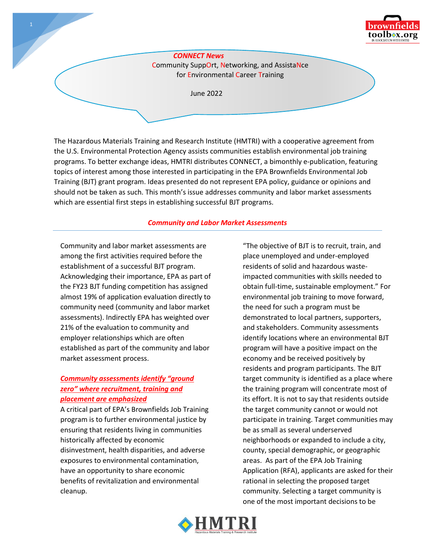

*CONNECT News* Community SuppOrt, Networking, and AssistaNce for Environmental Career Training

June 2022

The Hazardous Materials Training and Research Institute (HMTRI) with a cooperative agreement from the U.S. Environmental Protection Agency assists communities establish environmental job training programs. To better exchange ideas, HMTRI distributes CONNECT, a bimonthly e-publication, featuring topics of interest among those interested in participating in the EPA Brownfields Environmental Job Training (BJT) grant program. Ideas presented do not represent EPA policy, guidance or opinions and should not be taken as such. This month's issue addresses community and labor market assessments which are essential first steps in establishing successful BJT programs.

#### *Community and Labor Market Assessments*

Community and labor market assessments are among the first activities required before the establishment of a successful BJT program. Acknowledging their importance, EPA as part of the FY23 BJT funding competition has assigned almost 19% of application evaluation directly to community need (community and labor market assessments). Indirectly EPA has weighted over 21% of the evaluation to community and employer relationships which are often established as part of the community and labor market assessment process.

# *Community assessments identify "ground zero" where recruitment, training and placement are emphasized*

A critical part of EPA's Brownfields Job Training program is to further environmental justice by ensuring that residents living in communities historically affected by economic disinvestment, health disparities, and adverse exposures to environmental contamination, have an opportunity to share economic benefits of revitalization and environmental cleanup.

"The objective of BJT is to recruit, train, and place unemployed and under-employed residents of solid and hazardous wasteimpacted communities with skills needed to obtain full-time, sustainable employment." For environmental job training to move forward, the need for such a program must be demonstrated to local partners, supporters, and stakeholders. Community assessments identify locations where an environmental BJT program will have a positive impact on the economy and be received positively by residents and program participants. The BJT target community is identified as a place where the training program will concentrate most of its effort. It is not to say that residents outside the target community cannot or would not participate in training. Target communities may be as small as several underserved neighborhoods or expanded to include a city, county, special demographic, or geographic areas. As part of the EPA Job Training Application (RFA), applicants are asked for their rational in selecting the proposed target community. Selecting a target community is one of the most important decisions to be

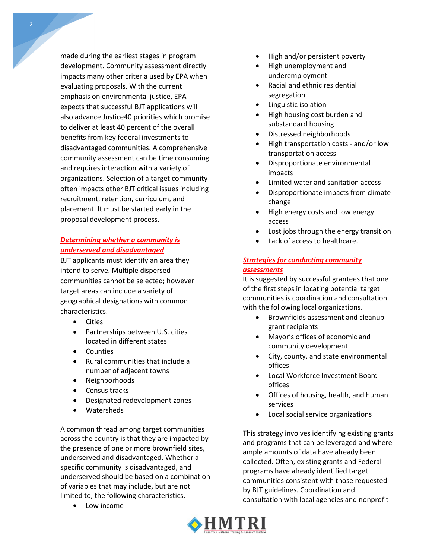made during the earliest stages in program development. Community assessment directly impacts many other criteria used by EPA when evaluating proposals. With the current emphasis on environmental justice, EPA expects that successful BJT applications will also advance Justice40 priorities which promise to deliver at least 40 percent of the overall benefits from key federal investments to disadvantaged communities. A comprehensive community assessment can be time consuming and requires interaction with a variety of organizations. Selection of a target community often impacts other BJT critical issues including recruitment, retention, curriculum, and placement. It must be started early in the proposal development process.

#### *Determining whether a community is underserved and disadvantaged*

BJT applicants must identify an area they intend to serve. Multiple dispersed communities cannot be selected; however target areas can include a variety of geographical designations with common characteristics.

- **•** Cities
- Partnerships between U.S. cities located in different states
- Counties
- Rural communities that include a number of adjacent towns
- Neighborhoods
- Census tracks
- Designated redevelopment zones
- Watersheds

A common thread among target communities across the country is that they are impacted by the presence of one or more brownfield sites, underserved and disadvantaged. Whether a specific community is disadvantaged, and underserved should be based on a combination of variables that may include, but are not limited to, the following characteristics.

• Low income

- High and/or persistent poverty
- High unemployment and underemployment
- Racial and ethnic residential segregation
- Linguistic isolation
- High housing cost burden and substandard housing
- Distressed neighborhoods
- High transportation costs and/or low transportation access
- Disproportionate environmental impacts
- Limited water and sanitation access
- Disproportionate impacts from climate change
- High energy costs and low energy access
- Lost jobs through the energy transition
- Lack of access to healthcare.

#### *Strategies for conducting community assessments*

It is suggested by successful grantees that one of the first steps in locating potential target communities is coordination and consultation with the following local organizations.

- Brownfields assessment and cleanup grant recipients
- Mayor's offices of economic and community development
- City, county, and state environmental offices
- Local Workforce Investment Board offices
- Offices of housing, health, and human services
- Local social service organizations

This strategy involves identifying existing grants and programs that can be leveraged and where ample amounts of data have already been collected. Often, existing grants and Federal programs have already identified target communities consistent with those requested by BJT guidelines. Coordination and consultation with local agencies and nonprofit

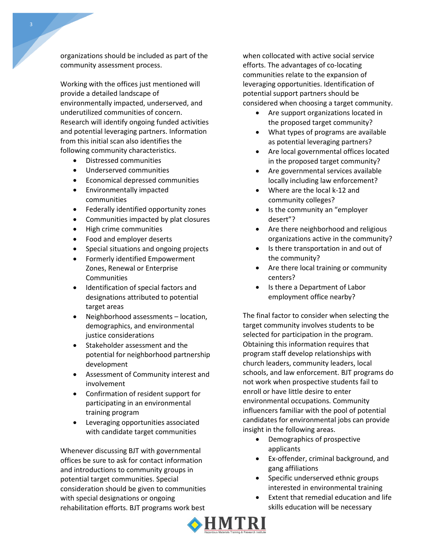organizations should be included as part of the community assessment process.

Working with the offices just mentioned will provide a detailed landscape of environmentally impacted, underserved, and underutilized communities of concern. Research will identify ongoing funded activities and potential leveraging partners. Information from this initial scan also identifies the following community characteristics.

- Distressed communities
- Underserved communities
- Economical depressed communities
- Environmentally impacted communities
- Federally identified opportunity zones
- Communities impacted by plat closures
- High crime communities
- Food and employer deserts
- Special situations and ongoing projects
- Formerly identified Empowerment Zones, Renewal or Enterprise Communities
- Identification of special factors and designations attributed to potential target areas
- Neighborhood assessments location, demographics, and environmental justice considerations
- Stakeholder assessment and the potential for neighborhood partnership development
- Assessment of Community interest and involvement
- Confirmation of resident support for participating in an environmental training program
- Leveraging opportunities associated with candidate target communities

Whenever discussing BJT with governmental offices be sure to ask for contact information and introductions to community groups in potential target communities. Special consideration should be given to communities with special designations or ongoing rehabilitation efforts. BJT programs work best

when collocated with active social service efforts. The advantages of co-locating communities relate to the expansion of leveraging opportunities. Identification of potential support partners should be considered when choosing a target community.

- Are support organizations located in the proposed target community?
- What types of programs are available as potential leveraging partners?
- Are local governmental offices located in the proposed target community?
- Are governmental services available locally including law enforcement?
- Where are the local k-12 and community colleges?
- Is the community an "employer desert"?
- Are there neighborhood and religious organizations active in the community?
- Is there transportation in and out of the community?
- Are there local training or community centers?
- Is there a Department of Labor employment office nearby?

The final factor to consider when selecting the target community involves students to be selected for participation in the program. Obtaining this information requires that program staff develop relationships with church leaders, community leaders, local schools, and law enforcement. BJT programs do not work when prospective students fail to enroll or have little desire to enter environmental occupations. Community influencers familiar with the pool of potential candidates for environmental jobs can provide insight in the following areas.

- Demographics of prospective applicants
- Ex-offender, criminal background, and gang affiliations
- Specific underserved ethnic groups interested in environmental training
- Extent that remedial education and life skills education will be necessary

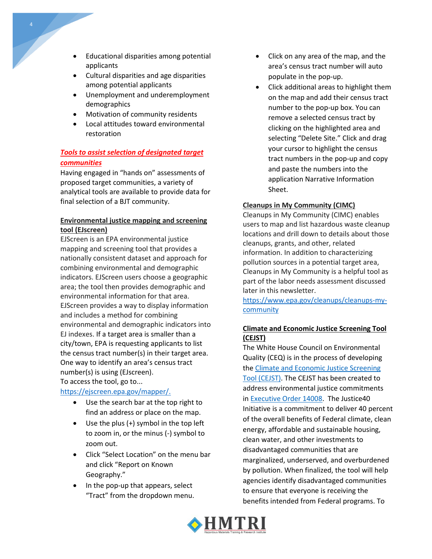- Educational disparities among potential applicants
- Cultural disparities and age disparities among potential applicants
- Unemployment and underemployment demographics
- Motivation of community residents
- Local attitudes toward environmental restoration

# *Tools to assist selection of designated target communities*

Having engaged in "hands on" assessments of proposed target communities, a variety of analytical tools are available to provide data for final selection of a BJT community.

#### **Environmental justice mapping and screening tool (EJscreen)**

EJScreen is an EPA environmental justice mapping and screening tool that provides a nationally consistent dataset and approach for combining environmental and demographic indicators. EJScreen users choose a geographic area; the tool then provides demographic and environmental information for that area. EJScreen provides a way to display information and includes a method for combining environmental and demographic indicators into EJ indexes. If a target area is smaller than a city/town, EPA is requesting applicants to list the census tract number(s) in their target area. One way to identify an area's census tract number(s) is using (EJscreen). To access the tool, go to...

## [https://ejscreen.epa.gov/mapper/.](https://ejscreen.epa.gov/mapper/)

- Use the search bar at the top right to find an address or place on the map.
- Use the plus (+) symbol in the top left to zoom in, or the minus (-) symbol to zoom out.
- Click "Select Location" on the menu bar and click "Report on Known Geography."
- In the pop-up that appears, select "Tract" from the dropdown menu.
- Click on any area of the map, and the area's census tract number will auto populate in the pop-up.
- Click additional areas to highlight them on the map and add their census tract number to the pop-up box. You can remove a selected census tract by clicking on the highlighted area and selecting "Delete Site." Click and drag your cursor to highlight the census tract numbers in the pop-up and copy and paste the numbers into the application Narrative Information Sheet.

## **Cleanups in My Community (CIMC)**

Cleanups in My Community (CIMC) enables users to map and list hazardous waste cleanup locations and drill down to details about those cleanups, grants, and other, related information. In addition to characterizing pollution sources in a potential target area, Cleanups in My Community is a helpful tool as part of the labor needs assessment discussed later in this newsletter.

[https://www.epa.gov/cleanups/cleanups-my](https://www.epa.gov/cleanups/cleanups-my-community)**[community](https://www.epa.gov/cleanups/cleanups-my-community)** 

## **Climate and Economic Justice Screening Tool (CEJST)**

The White House Council on Environmental Quality (CEQ) is in the process of developing the [Climate and Economic Justice Screening](https://screeningtool.geoplatform.gov/)  [Tool \(CEJST\).](https://screeningtool.geoplatform.gov/) The CEJST has been created to address environmental justice commitments in [Executive Order 14008.](https://www.whitehouse.gov/briefing-room/presidential-actions/2021/01/27/executive-order-on-tackling-the-climate-crisis-at-home-and-abroad/) The Justice40 Initiative is a commitment to deliver 40 percent of the overall benefits of Federal climate, clean energy, affordable and sustainable housing, clean water, and other investments to disadvantaged communities that are marginalized, underserved, and overburdened by pollution. When finalized, the tool will help agencies identify disadvantaged communities to ensure that everyone is receiving the benefits intended from Federal programs. To

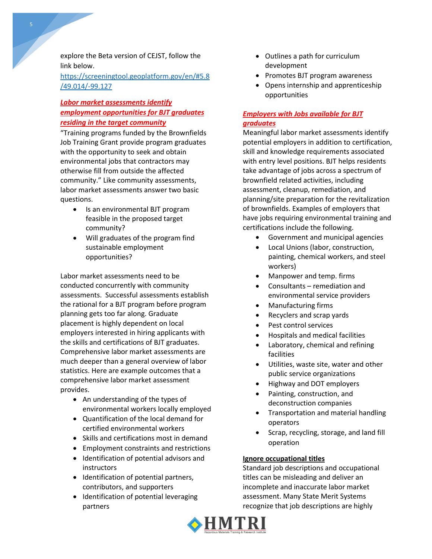explore the Beta version of CEJST, follow the link below.

[https://screeningtool.geoplatform.gov/en/#5.8](https://screeningtool.geoplatform.gov/en/#5.8/49.014/-99.127) [/49.014/-99.127](https://screeningtool.geoplatform.gov/en/#5.8/49.014/-99.127)

## *Labor market assessments identify employment opportunities for BJT graduates residing in the target community*

"Training programs funded by the Brownfields Job Training Grant provide program graduates with the opportunity to seek and obtain environmental jobs that contractors may otherwise fill from outside the affected community." Like community assessments, labor market assessments answer two basic questions.

- Is an environmental BJT program feasible in the proposed target community?
- Will graduates of the program find sustainable employment opportunities?

Labor market assessments need to be conducted concurrently with community assessments. Successful assessments establish the rational for a BJT program before program planning gets too far along. Graduate placement is highly dependent on local employers interested in hiring applicants with the skills and certifications of BJT graduates. Comprehensive labor market assessments are much deeper than a general overview of labor statistics. Here are example outcomes that a comprehensive labor market assessment provides.

- An understanding of the types of environmental workers locally employed
- Quantification of the local demand for certified environmental workers
- Skills and certifications most in demand
- Employment constraints and restrictions
- Identification of potential advisors and **instructors**
- Identification of potential partners, contributors, and supporters
- Identification of potential leveraging partners
- Outlines a path for curriculum development
- Promotes BJT program awareness
- Opens internship and apprenticeship opportunities

#### *Employers with Jobs available for BJT graduates*

Meaningful labor market assessments identify potential employers in addition to certification, skill and knowledge requirements associated with entry level positions. BJT helps residents take advantage of jobs across a spectrum of brownfield related activities, including assessment, cleanup, remediation, and planning/site preparation for the revitalization of brownfields. Examples of employers that have jobs requiring environmental training and certifications include the following.

- Government and municipal agencies
- Local Unions (labor, construction, painting, chemical workers, and steel workers)
- Manpower and temp. firms
- Consultants remediation and environmental service providers
- Manufacturing firms
- Recyclers and scrap yards
- Pest control services
- Hospitals and medical facilities
- Laboratory, chemical and refining facilities
- Utilities, waste site, water and other public service organizations
- Highway and DOT employers
- Painting, construction, and deconstruction companies
- Transportation and material handling operators
- Scrap, recycling, storage, and land fill operation

#### **Ignore occupational titles**

Standard job descriptions and occupational titles can be misleading and deliver an incomplete and inaccurate labor market assessment. Many State Merit Systems recognize that job descriptions are highly

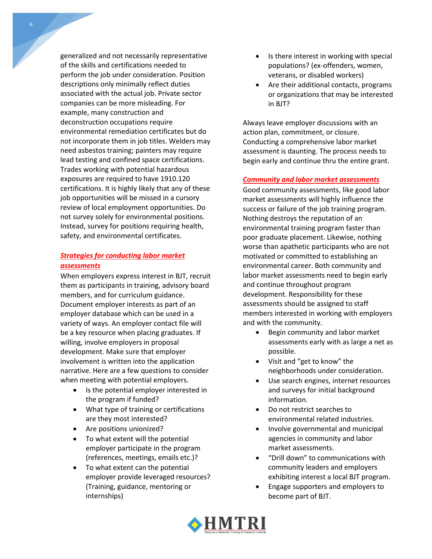generalized and not necessarily representative of the skills and certifications needed to perform the job under consideration. Position descriptions only minimally reflect duties associated with the actual job. Private sector companies can be more misleading. For example, many construction and deconstruction occupations require environmental remediation certificates but do not incorporate them in job titles. Welders may need asbestos training; painters may require lead testing and confined space certifications. Trades working with potential hazardous exposures are required to have 1910.120 certifications. It is highly likely that any of these job opportunities will be missed in a cursory review of local employment opportunities. Do not survey solely for environmental positions. Instead, survey for positions requiring health, safety, and environmental certificates.

# *Strategies for conducting labor market assessments*

When employers express interest in BJT, recruit them as participants in training, advisory board members, and for curriculum guidance. Document employer interests as part of an employer database which can be used in a variety of ways. An employer contact file will be a key resource when placing graduates. If willing, involve employers in proposal development. Make sure that employer involvement is written into the application narrative. Here are a few questions to consider when meeting with potential employers.

- Is the potential employer interested in the program if funded?
- What type of training or certifications are they most interested?
- Are positions unionized?
- To what extent will the potential employer participate in the program (references, meetings, emails etc.)?
- To what extent can the potential employer provide leveraged resources? (Training, guidance, mentoring or internships)
- $\bullet$  Is there interest in working with special populations? (ex-offenders, women, veterans, or disabled workers)
- Are their additional contacts, programs or organizations that may be interested in BJT?

Always leave employer discussions with an action plan, commitment, or closure. Conducting a comprehensive labor market assessment is daunting. The process needs to begin early and continue thru the entire grant.

#### *Community and labor market assessments*

Good community assessments, like good labor market assessments will highly influence the success or failure of the job training program. Nothing destroys the reputation of an environmental training program faster than poor graduate placement. Likewise, nothing worse than apathetic participants who are not motivated or committed to establishing an environmental career. Both community and labor market assessments need to begin early and continue throughout program development. Responsibility for these assessments should be assigned to staff members interested in working with employers and with the community.

- Begin community and labor market assessments early with as large a net as possible.
- Visit and "get to know" the neighborhoods under consideration.
- Use search engines, internet resources and surveys for initial background information.
- Do not restrict searches to environmental related industries.
- Involve governmental and municipal agencies in community and labor market assessments.
- "Drill down" to communications with community leaders and employers exhibiting interest a local BJT program.
- Engage supporters and employers to become part of BJT.